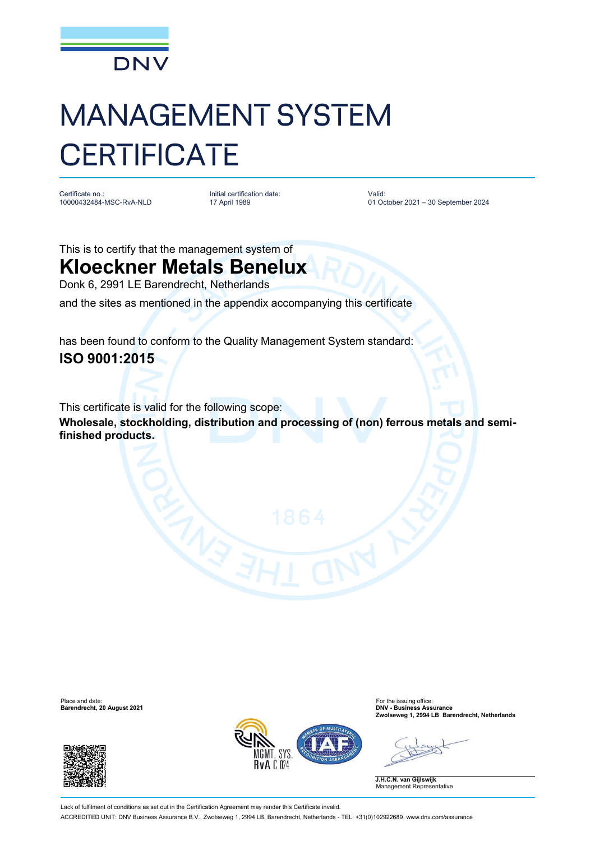

## MANAGEMENT SYSTEM **CERTIFICATE**

Certificate no.: 10000432484-MSC-RvA-NLD Initial certification date: 17 April 1989

Valid: 01 October 2021 – 30 September 2024

This is to certify that the management system of

## **Kloeckner Metals Benelux**

Donk 6, 2991 LE Barendrecht, Netherlands

and the sites as mentioned in the appendix accompanying this certificate

has been found to conform to the Quality Management System standard: **ISO 9001:2015**

This certificate is valid for the following scope:

**Wholesale, stockholding, distribution and processing of (non) ferrous metals and semifinished products.**

Place and date: For the issuing office: **Barendrecht, 20 August 2021 DNV - Business Assurance**





**Zwolseweg 1, 2994 LB Barendrecht, Netherlands**

**J.H.C.N. van Gijlswijk** Management Representative

Lack of fulfilment of conditions as set out in the Certification Agreement may render this Certificate invalid. ACCREDITED UNIT: DNV Business Assurance B.V., Zwolseweg 1, 2994 LB, Barendrecht, Netherlands - TEL: +31(0)102922689. [www.dnv.com/assurance](http://www.dnv.com/assurance)